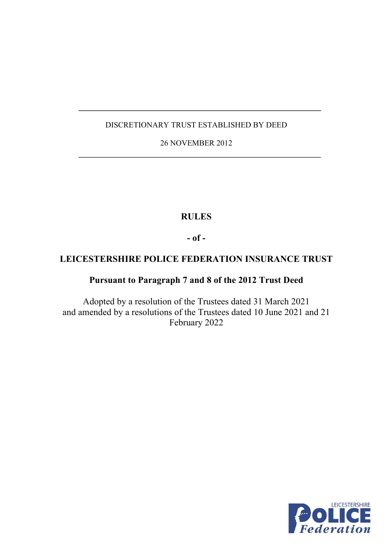# DISCRETIONARY TRUST ESTABLISHED BY DEED

# 26 NOVEMBER 2012

# **RULES**

**- of -**

# **LEICESTERSHIRE POLICE FEDERATION INSURANCE TRUST**

# **Pursuant to Paragraph 7 and 8 of the 2012 Trust Deed**

Adopted by a resolution of the Trustees dated 31 March 2021 and amended by a resolutions of the Trustees dated 10 June 2021 and 21 February 2022

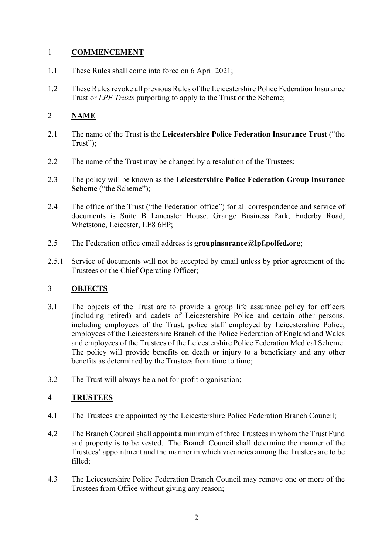### 1 **COMMENCEMENT**

- 1.1 These Rules shall come into force on 6 April 2021;
- 1.2 These Rules revoke all previous Rules of the Leicestershire Police Federation Insurance Trust or *LPF Trusts* purporting to apply to the Trust or the Scheme;

# 2 **NAME**

- 2.1 The name of the Trust is the **Leicestershire Police Federation Insurance Trust** ("the Trust":
- 2.2 The name of the Trust may be changed by a resolution of the Trustees;
- 2.3 The policy will be known as the **Leicestershire Police Federation Group Insurance Scheme** ("the Scheme");
- 2.4 The office of the Trust ("the Federation office") for all correspondence and service of documents is Suite B Lancaster House, Grange Business Park, Enderby Road, Whetstone, Leicester, LE8 6EP;
- 2.5 The Federation office email address is **groupinsurance@lpf.polfed.org**;
- 2.5.1 Service of documents will not be accepted by email unless by prior agreement of the Trustees or the Chief Operating Officer;

## 3 **OBJECTS**

- 3.1 The objects of the Trust are to provide a group life assurance policy for officers (including retired) and cadets of Leicestershire Police and certain other persons, including employees of the Trust, police staff employed by Leicestershire Police, employees of the Leicestershire Branch of the Police Federation of England and Wales and employees of the Trustees of the Leicestershire Police Federation Medical Scheme. The policy will provide benefits on death or injury to a beneficiary and any other benefits as determined by the Trustees from time to time;
- 3.2 The Trust will always be a not for profit organisation;

## 4 **TRUSTEES**

- 4.1 The Trustees are appointed by the Leicestershire Police Federation Branch Council;
- 4.2 The Branch Council shall appoint a minimum of three Trustees in whom the Trust Fund and property is to be vested. The Branch Council shall determine the manner of the Trustees' appointment and the manner in which vacancies among the Trustees are to be filled;
- 4.3 The Leicestershire Police Federation Branch Council may remove one or more of the Trustees from Office without giving any reason;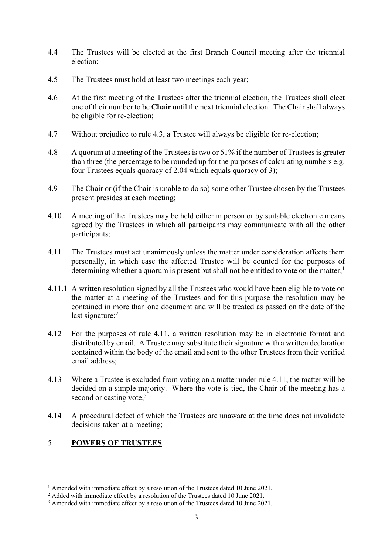- 4.4 The Trustees will be elected at the first Branch Council meeting after the triennial election;
- 4.5 The Trustees must hold at least two meetings each year;
- 4.6 At the first meeting of the Trustees after the triennial election, the Trustees shall elect one of their number to be **Chair** until the next triennial election. The Chair shall always be eligible for re-election;
- 4.7 Without prejudice to rule 4.3, a Trustee will always be eligible for re-election;
- 4.8 A quorum at a meeting of the Trustees is two or 51% if the number of Trustees is greater than three (the percentage to be rounded up for the purposes of calculating numbers e.g. four Trustees equals quoracy of 2.04 which equals quoracy of 3);
- 4.9 The Chair or (if the Chair is unable to do so) some other Trustee chosen by the Trustees present presides at each meeting;
- 4.10 A meeting of the Trustees may be held either in person or by suitable electronic means agreed by the Trustees in which all participants may communicate with all the other participants;
- 4.11 The Trustees must act unanimously unless the matter under consideration affects them personally, in which case the affected Trustee will be counted for the purposes of determining whether a quorum is present but shall not be entitled to vote on the matter;<sup>1</sup>
- 4.11.1 A written resolution signed by all the Trustees who would have been eligible to vote on the matter at a meeting of the Trustees and for this purpose the resolution may be contained in more than one document and will be treated as passed on the date of the last signature; 2
- 4.12 For the purposes of rule 4.11, a written resolution may be in electronic format and distributed by email. A Trustee may substitute their signature with a written declaration contained within the body of the email and sent to the other Trustees from their verified email address;
- 4.13 Where a Trustee is excluded from voting on a matter under rule 4.11, the matter will be decided on a simple majority. Where the vote is tied, the Chair of the meeting has a second or casting vote; $3<sup>3</sup>$
- 4.14 A procedural defect of which the Trustees are unaware at the time does not invalidate decisions taken at a meeting;

### 5 **POWERS OF TRUSTEES**

<sup>&</sup>lt;sup>1</sup> Amended with immediate effect by a resolution of the Trustees dated 10 June 2021.

<sup>&</sup>lt;sup>2</sup> Added with immediate effect by a resolution of the Trustees dated 10 June 2021.

<sup>&</sup>lt;sup>3</sup> Amended with immediate effect by a resolution of the Trustees dated 10 June 2021.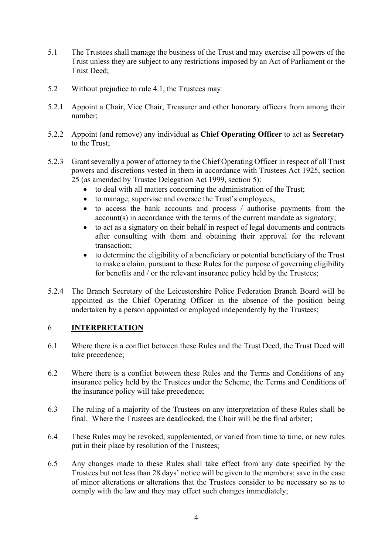- 5.1 The Trustees shall manage the business of the Trust and may exercise all powers of the Trust unless they are subject to any restrictions imposed by an Act of Parliament or the Trust Deed;
- 5.2 Without prejudice to rule 4.1, the Trustees may:
- 5.2.1 Appoint a Chair, Vice Chair, Treasurer and other honorary officers from among their number;
- 5.2.2 Appoint (and remove) any individual as **Chief Operating Officer** to act as **Secretary** to the Trust;
- 5.2.3 Grant severally a power of attorney to the Chief Operating Officer in respect of all Trust powers and discretions vested in them in accordance with Trustees Act 1925, section 25 (as amended by Trustee Delegation Act 1999, section 5):
	- to deal with all matters concerning the administration of the Trust;
	- to manage, supervise and oversee the Trust's employees;
	- to access the bank accounts and process / authorise payments from the account(s) in accordance with the terms of the current mandate as signatory;
	- to act as a signatory on their behalf in respect of legal documents and contracts after consulting with them and obtaining their approval for the relevant transaction;
	- to determine the eligibility of a beneficiary or potential beneficiary of the Trust to make a claim, pursuant to these Rules for the purpose of governing eligibility for benefits and  $\overline{\phantom{a}}$  or the relevant insurance policy held by the Trustees;
- 5.2.4 The Branch Secretary of the Leicestershire Police Federation Branch Board will be appointed as the Chief Operating Officer in the absence of the position being undertaken by a person appointed or employed independently by the Trustees;

#### 6 **INTERPRETATION**

- 6.1 Where there is a conflict between these Rules and the Trust Deed, the Trust Deed will take precedence;
- 6.2 Where there is a conflict between these Rules and the Terms and Conditions of any insurance policy held by the Trustees under the Scheme, the Terms and Conditions of the insurance policy will take precedence;
- 6.3 The ruling of a majority of the Trustees on any interpretation of these Rules shall be final. Where the Trustees are deadlocked, the Chair will be the final arbiter;
- 6.4 These Rules may be revoked, supplemented, or varied from time to time, or new rules put in their place by resolution of the Trustees;
- 6.5 Any changes made to these Rules shall take effect from any date specified by the Trustees but not less than 28 days' notice will be given to the members; save in the case of minor alterations or alterations that the Trustees consider to be necessary so as to comply with the law and they may effect such changes immediately;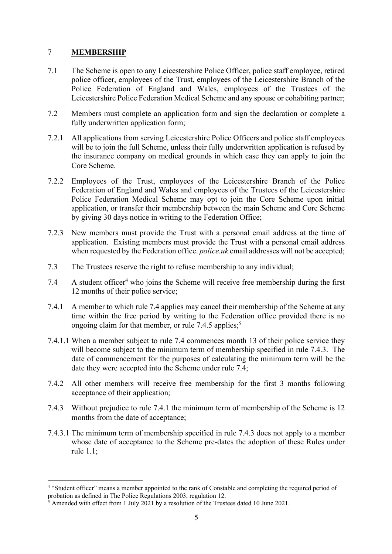#### 7 **MEMBERSHIP**

- 7.1 The Scheme is open to any Leicestershire Police Officer, police staff employee, retired police officer, employees of the Trust, employees of the Leicestershire Branch of the Police Federation of England and Wales, employees of the Trustees of the Leicestershire Police Federation Medical Scheme and any spouse or cohabiting partner;
- 7.2 Members must complete an application form and sign the declaration or complete a fully underwritten application form;
- 7.2.1 All applications from serving Leicestershire Police Officers and police staff employees will be to join the full Scheme, unless their fully underwritten application is refused by the insurance company on medical grounds in which case they can apply to join the Core Scheme.
- 7.2.2 Employees of the Trust, employees of the Leicestershire Branch of the Police Federation of England and Wales and employees of the Trustees of the Leicestershire Police Federation Medical Scheme may opt to join the Core Scheme upon initial application, or transfer their membership between the main Scheme and Core Scheme by giving 30 days notice in writing to the Federation Office;
- 7.2.3 New members must provide the Trust with a personal email address at the time of application. Existing members must provide the Trust with a personal email address when requested by the Federation office. *police.uk* email addresses will not be accepted;
- 7.3 The Trustees reserve the right to refuse membership to any individual;
- 7.4 A student officer<sup>4</sup> who joins the Scheme will receive free membership during the first 12 months of their police service;
- 7.4.1 A member to which rule 7.4 applies may cancel their membership of the Scheme at any time within the free period by writing to the Federation office provided there is no ongoing claim for that member, or rule 7.4.5 applies;<sup>5</sup>
- 7.4.1.1 When a member subject to rule 7.4 commences month 13 of their police service they will become subject to the minimum term of membership specified in rule 7.4.3. The date of commencement for the purposes of calculating the minimum term will be the date they were accepted into the Scheme under rule 7.4;
- 7.4.2 All other members will receive free membership for the first 3 months following acceptance of their application;
- 7.4.3 Without prejudice to rule 7.4.1 the minimum term of membership of the Scheme is 12 months from the date of acceptance;
- 7.4.3.1 The minimum term of membership specified in rule 7.4.3 does not apply to a member whose date of acceptance to the Scheme pre-dates the adoption of these Rules under rule 1.1;

<sup>4</sup> "Student officer" means a member appointed to the rank of Constable and completing the required period of probation as defined in The Police Regulations 2003, regulation 12.

<sup>5</sup> Amended with effect from 1 July 2021 by a resolution of the Trustees dated 10 June 2021.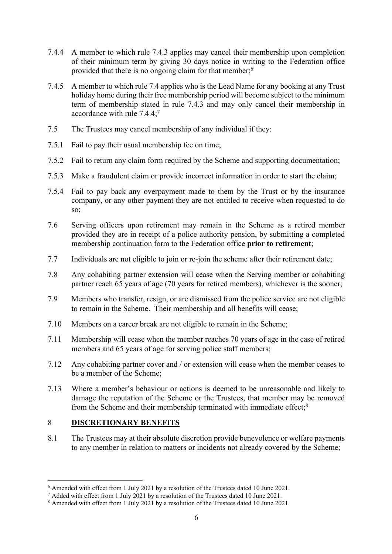- 7.4.4 A member to which rule 7.4.3 applies may cancel their membership upon completion of their minimum term by giving 30 days notice in writing to the Federation office provided that there is no ongoing claim for that member;6
- 7.4.5 A member to which rule 7.4 applies who is the Lead Name for any booking at any Trust holiday home during their free membership period will become subject to the minimum term of membership stated in rule 7.4.3 and may only cancel their membership in accordance with rule 7.4.4; 7
- 7.5 The Trustees may cancel membership of any individual if they:
- 7.5.1 Fail to pay their usual membership fee on time;
- 7.5.2 Fail to return any claim form required by the Scheme and supporting documentation;
- 7.5.3 Make a fraudulent claim or provide incorrect information in order to start the claim;
- 7.5.4 Fail to pay back any overpayment made to them by the Trust or by the insurance company, or any other payment they are not entitled to receive when requested to do so;
- 7.6 Serving officers upon retirement may remain in the Scheme as a retired member provided they are in receipt of a police authority pension, by submitting a completed membership continuation form to the Federation office **prior to retirement**;
- 7.7 Individuals are not eligible to join or re-join the scheme after their retirement date;
- 7.8 Any cohabiting partner extension will cease when the Serving member or cohabiting partner reach 65 years of age (70 years for retired members), whichever is the sooner;
- 7.9 Members who transfer, resign, or are dismissed from the police service are not eligible to remain in the Scheme. Their membership and all benefits will cease;
- 7.10 Members on a career break are not eligible to remain in the Scheme;
- 7.11 Membership will cease when the member reaches 70 years of age in the case of retired members and 65 years of age for serving police staff members;
- 7.12 Any cohabiting partner cover and / or extension will cease when the member ceases to be a member of the Scheme;
- 7.13 Where a member's behaviour or actions is deemed to be unreasonable and likely to damage the reputation of the Scheme or the Trustees, that member may be removed from the Scheme and their membership terminated with immediate effect;<sup>8</sup>

#### 8 **DISCRETIONARY BENEFITS**

8.1 The Trustees may at their absolute discretion provide benevolence or welfare payments to any member in relation to matters or incidents not already covered by the Scheme;

<sup>6</sup> Amended with effect from 1 July 2021 by a resolution of the Trustees dated 10 June 2021.

<sup>&</sup>lt;sup>7</sup> Added with effect from 1 July 2021 by a resolution of the Trustees dated 10 June 2021.

<sup>8</sup> Amended with effect from 1 July 2021 by a resolution of the Trustees dated 10 June 2021.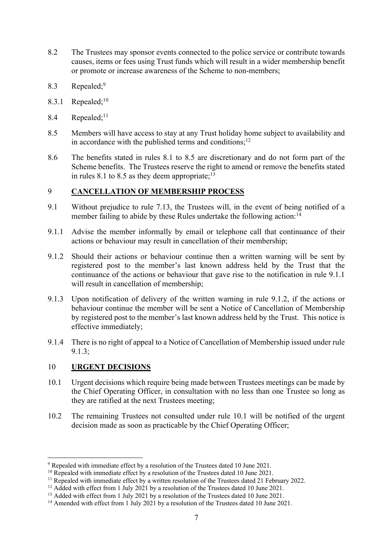- 8.2 The Trustees may sponsor events connected to the police service or contribute towards causes, items or fees using Trust funds which will result in a wider membership benefit or promote or increase awareness of the Scheme to non-members;
- 8.3 Repealed; 9
- 8.3.1 Repealed; $10$
- 8.4 Repealed;<sup>11</sup>
- 8.5 Members will have access to stay at any Trust holiday home subject to availability and in accordance with the published terms and conditions; $12$
- 8.6 The benefits stated in rules 8.1 to 8.5 are discretionary and do not form part of the Scheme benefits. The Trustees reserve the right to amend or remove the benefits stated in rules 8.1 to 8.5 as they deem appropriate; $^{13}$

#### 9 **CANCELLATION OF MEMBERSHIP PROCESS**

- 9.1 Without prejudice to rule 7.13, the Trustees will, in the event of being notified of a member failing to abide by these Rules undertake the following action:<sup>14</sup>
- 9.1.1 Advise the member informally by email or telephone call that continuance of their actions or behaviour may result in cancellation of their membership;
- 9.1.2 Should their actions or behaviour continue then a written warning will be sent by registered post to the member's last known address held by the Trust that the continuance of the actions or behaviour that gave rise to the notification in rule 9.1.1 will result in cancellation of membership;
- 9.1.3 Upon notification of delivery of the written warning in rule 9.1.2, if the actions or behaviour continue the member will be sent a Notice of Cancellation of Membership by registered post to the member's last known address held by the Trust. This notice is effective immediately;
- 9.1.4 There is no right of appeal to a Notice of Cancellation of Membership issued under rule 9.1.3;

#### 10 **URGENT DECISIONS**

- 10.1 Urgent decisions which require being made between Trustees meetings can be made by the Chief Operating Officer, in consultation with no less than one Trustee so long as they are ratified at the next Trustees meeting;
- 10.2 The remaining Trustees not consulted under rule 10.1 will be notified of the urgent decision made as soon as practicable by the Chief Operating Officer;

<sup>9</sup> Repealed with immediate effect by a resolution of the Trustees dated 10 June 2021.

 $10$  Repealed with immediate effect by a resolution of the Trustees dated 10 June 2021.

 $11$  Repealed with immediate effect by a written resolution of the Trustees dated 21 February 2022.

<sup>&</sup>lt;sup>12</sup> Added with effect from 1 July 2021 by a resolution of the Trustees dated 10 June 2021.

<sup>&</sup>lt;sup>13</sup> Added with effect from 1 July 2021 by a resolution of the Trustees dated 10 June 2021.

<sup>&</sup>lt;sup>14</sup> Amended with effect from 1 July 2021 by a resolution of the Trustees dated 10 June 2021.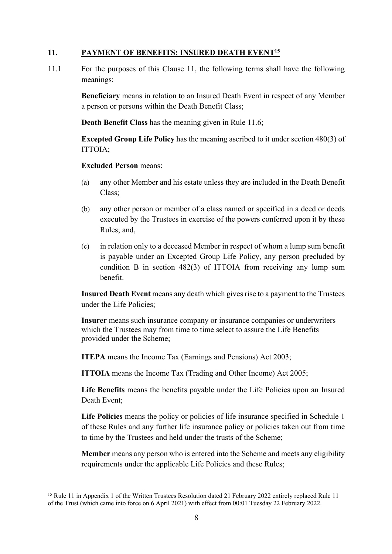#### **11. PAYMENT OF BENEFITS: INSURED DEATH EVENT15**

11.1 For the purposes of this Clause 11, the following terms shall have the following meanings:

> **Beneficiary** means in relation to an Insured Death Event in respect of any Member a person or persons within the Death Benefit Class;

**Death Benefit Class** has the meaning given in Rule 11.6;

**Excepted Group Life Policy** has the meaning ascribed to it under section 480(3) of ITTOIA;

**Excluded Person** means:

- (a) any other Member and his estate unless they are included in the Death Benefit Class;
- (b) any other person or member of a class named or specified in a deed or deeds executed by the Trustees in exercise of the powers conferred upon it by these Rules; and,
- (c) in relation only to a deceased Member in respect of whom a lump sum benefit is payable under an Excepted Group Life Policy, any person precluded by condition B in section 482(3) of ITTOIA from receiving any lump sum benefit.

**Insured Death Event** means any death which gives rise to a payment to the Trustees under the Life Policies;

**Insurer** means such insurance company or insurance companies or underwriters which the Trustees may from time to time select to assure the Life Benefits provided under the Scheme;

**ITEPA** means the Income Tax (Earnings and Pensions) Act 2003;

**ITTOIA** means the Income Tax (Trading and Other Income) Act 2005;

**Life Benefits** means the benefits payable under the Life Policies upon an Insured Death Event;

**Life Policies** means the policy or policies of life insurance specified in Schedule 1 of these Rules and any further life insurance policy or policies taken out from time to time by the Trustees and held under the trusts of the Scheme;

**Member** means any person who is entered into the Scheme and meets any eligibility requirements under the applicable Life Policies and these Rules;

<sup>&</sup>lt;sup>15</sup> Rule 11 in Appendix 1 of the Written Trustees Resolution dated 21 February 2022 entirely replaced Rule 11 of the Trust (which came into force on 6 April 2021) with effect from 00:01 Tuesday 22 February 2022.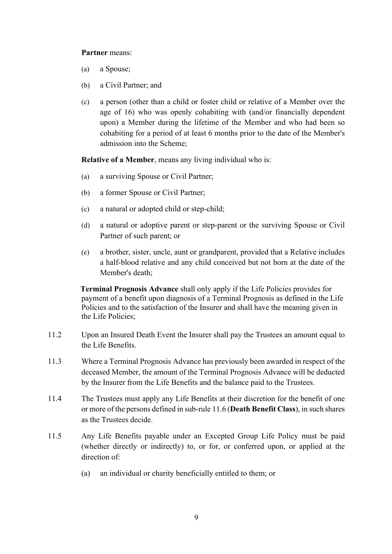#### **Partner** means:

- (a) a Spouse;
- (b) a Civil Partner; and
- (c) a person (other than a child or foster child or relative of a Member over the age of 16) who was openly cohabiting with (and/or financially dependent upon) a Member during the lifetime of the Member and who had been so cohabiting for a period of at least 6 months prior to the date of the Member's admission into the Scheme;

**Relative of a Member**, means any living individual who is:

- (a) a surviving Spouse or Civil Partner;
- (b) a former Spouse or Civil Partner;
- (c) a natural or adopted child or step-child;
- (d) a natural or adoptive parent or step-parent or the surviving Spouse or Civil Partner of such parent; or
- (e) a brother, sister, uncle, aunt or grandparent, provided that a Relative includes a half-blood relative and any child conceived but not born at the date of the Member's death;

**Terminal Prognosis Advance** shall only apply if the Life Policies provides for payment of a benefit upon diagnosis of a Terminal Prognosis as defined in the Life Policies and to the satisfaction of the Insurer and shall have the meaning given in the Life Policies;

- 11.2 Upon an Insured Death Event the Insurer shall pay the Trustees an amount equal to the Life Benefits.
- 11.3 Where a Terminal Prognosis Advance has previously been awarded in respect of the deceased Member, the amount of the Terminal Prognosis Advance will be deducted by the Insurer from the Life Benefits and the balance paid to the Trustees.
- 11.4 The Trustees must apply any Life Benefits at their discretion for the benefit of one or more of the persons defined in sub-rule 11.6 (**Death Benefit Class**), in such shares as the Trustees decide.
- 11.5 Any Life Benefits payable under an Excepted Group Life Policy must be paid (whether directly or indirectly) to, or for, or conferred upon, or applied at the direction of:
	- (a) an individual or charity beneficially entitled to them; or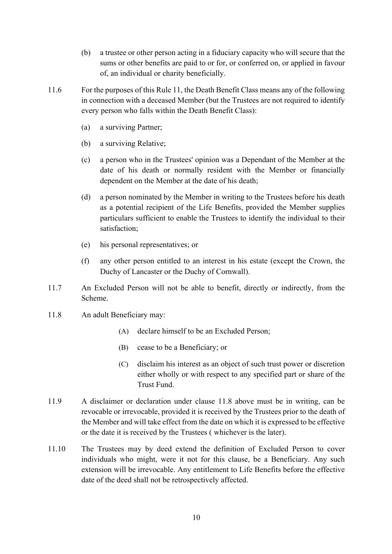- (b) a trustee or other person acting in a fiduciary capacity who will secure that the sums or other benefits are paid to or for, or conferred on, or applied in favour of, an individual or charity beneficially.
- 11.6 For the purposes of this Rule 11, the Death Benefit Class means any of the following in connection with a deceased Member (but the Trustees are not required to identify every person who falls within the Death Benefit Class):
	- (a) a surviving Partner;
	- (b) a surviving Relative;
	- (c) a person who in the Trustees' opinion was a Dependant of the Member at the date of his death or normally resident with the Member or financially dependent on the Member at the date of his death;
	- (d) a person nominated by the Member in writing to the Trustees before his death as a potential recipient of the Life Benefits, provided the Member supplies particulars sufficient to enable the Trustees to identify the individual to their satisfaction;
	- (e) his personal representatives; or
	- (f) any other person entitled to an interest in his estate (except the Crown, the Duchy of Lancaster or the Duchy of Cornwall).
- 11.7 An Excluded Person will not be able to benefit, directly or indirectly, from the Scheme.
- 11.8 An adult Beneficiary may:
	- (A) declare himself to be an Excluded Person;
	- (B) cease to be a Beneficiary; or
	- (C) disclaim his interest as an object of such trust power or discretion either wholly or with respect to any specified part or share of the Trust Fund.
- 11.9 A disclaimer or declaration under clause 11.8 above must be in writing, can be revocable or irrevocable, provided it is received by the Trustees prior to the death of the Member and will take effect from the date on which it is expressed to be effective or the date it is received by the Trustees ( whichever is the later).
- 11.10 The Trustees may by deed extend the definition of Excluded Person to cover individuals who might, were it not for this clause, be a Beneficiary. Any such extension will be irrevocable. Any entitlement to Life Benefits before the effective date of the deed shall not be retrospectively affected.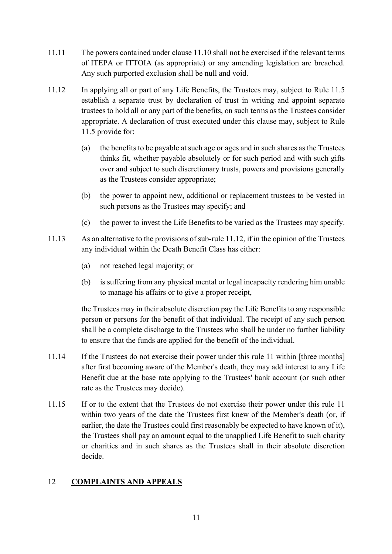- 11.11 The powers contained under clause 11.10 shall not be exercised if the relevant terms of ITEPA or ITTOIA (as appropriate) or any amending legislation are breached. Any such purported exclusion shall be null and void.
- 11.12 In applying all or part of any Life Benefits, the Trustees may, subject to Rule 11.5 establish a separate trust by declaration of trust in writing and appoint separate trustees to hold all or any part of the benefits, on such terms as the Trustees consider appropriate. A declaration of trust executed under this clause may, subject to Rule 11.5 provide for:
	- (a) the benefits to be payable at such age or ages and in such shares as the Trustees thinks fit, whether payable absolutely or for such period and with such gifts over and subject to such discretionary trusts, powers and provisions generally as the Trustees consider appropriate;
	- (b) the power to appoint new, additional or replacement trustees to be vested in such persons as the Trustees may specify; and
	- (c) the power to invest the Life Benefits to be varied as the Trustees may specify.
- 11.13 As an alternative to the provisions of sub-rule 11.12, if in the opinion of the Trustees any individual within the Death Benefit Class has either:
	- (a) not reached legal majority; or
	- (b) is suffering from any physical mental or legal incapacity rendering him unable to manage his affairs or to give a proper receipt,

the Trustees may in their absolute discretion pay the Life Benefits to any responsible person or persons for the benefit of that individual. The receipt of any such person shall be a complete discharge to the Trustees who shall be under no further liability to ensure that the funds are applied for the benefit of the individual.

- 11.14 If the Trustees do not exercise their power under this rule 11 within [three months] after first becoming aware of the Member's death, they may add interest to any Life Benefit due at the base rate applying to the Trustees' bank account (or such other rate as the Trustees may decide).
- 11.15 If or to the extent that the Trustees do not exercise their power under this rule 11 within two years of the date the Trustees first knew of the Member's death (or, if earlier, the date the Trustees could first reasonably be expected to have known of it), the Trustees shall pay an amount equal to the unapplied Life Benefit to such charity or charities and in such shares as the Trustees shall in their absolute discretion decide.

## 12 **COMPLAINTS AND APPEALS**